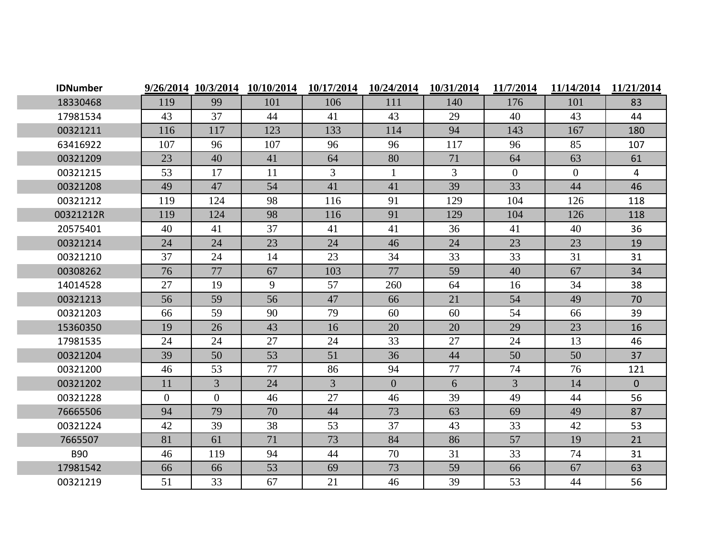| <b>IDNumber</b> |                |                | 9/26/2014 10/3/2014 10/10/2014 | 10/17/2014     | 10/24/2014     | 10/31/2014 | 11/7/2014      | 11/14/2014     | 11/21/2014     |
|-----------------|----------------|----------------|--------------------------------|----------------|----------------|------------|----------------|----------------|----------------|
| 18330468        | 119            | 99             | 101                            | 106            | 111            | 140        | 176            | 101            | 83             |
| 17981534        | 43             | 37             | 44                             | 41             | 43             | 29         | 40             | 43             | 44             |
| 00321211        | 116            | 117            | 123                            | 133            | 114            | 94         | 143            | 167            | 180            |
| 63416922        | 107            | 96             | 107                            | 96             | 96             | 117        | 96             | 85             | 107            |
| 00321209        | 23             | 40             | 41                             | 64             | 80             | 71         | 64             | 63             | 61             |
| 00321215        | 53             | 17             | 11                             | $\mathfrak{Z}$ | $\mathbf{1}$   | 3          | $\overline{0}$ | $\overline{0}$ | $\overline{4}$ |
| 00321208        | 49             | 47             | 54                             | 41             | 41             | 39         | 33             | 44             | 46             |
| 00321212        | 119            | 124            | 98                             | 116            | 91             | 129        | 104            | 126            | 118            |
| 00321212R       | 119            | 124            | 98                             | 116            | 91             | 129        | 104            | 126            | 118            |
| 20575401        | 40             | 41             | 37                             | 41             | 41             | 36         | 41             | 40             | 36             |
| 00321214        | 24             | 24             | 23                             | 24             | 46             | 24         | 23             | 23             | 19             |
| 00321210        | 37             | 24             | 14                             | 23             | 34             | 33         | 33             | 31             | 31             |
| 00308262        | 76             | 77             | 67                             | 103            | 77             | 59         | 40             | 67             | 34             |
| 14014528        | 27             | 19             | 9                              | 57             | 260            | 64         | 16             | 34             | 38             |
| 00321213        | 56             | 59             | 56                             | 47             | 66             | 21         | 54             | 49             | 70             |
| 00321203        | 66             | 59             | 90                             | 79             | 60             | 60         | 54             | 66             | 39             |
| 15360350        | 19             | 26             | 43                             | 16             | 20             | 20         | 29             | 23             | 16             |
| 17981535        | 24             | 24             | 27                             | 24             | 33             | 27         | 24             | 13             | 46             |
| 00321204        | 39             | 50             | 53                             | 51             | 36             | 44         | 50             | 50             | 37             |
| 00321200        | 46             | 53             | 77                             | 86             | 94             | 77         | 74             | 76             | 121            |
| 00321202        | 11             | $\overline{3}$ | 24                             | $\overline{3}$ | $\overline{0}$ | 6          | $\overline{3}$ | 14             | $\overline{0}$ |
| 00321228        | $\overline{0}$ | $\overline{0}$ | 46                             | 27             | 46             | 39         | 49             | 44             | 56             |
| 76665506        | 94             | 79             | 70                             | 44             | 73             | 63         | 69             | 49             | 87             |
| 00321224        | 42             | 39             | 38                             | 53             | 37             | 43         | 33             | 42             | 53             |
| 7665507         | 81             | 61             | 71                             | 73             | 84             | 86         | 57             | 19             | 21             |
| <b>B90</b>      | 46             | 119            | 94                             | 44             | 70             | 31         | 33             | 74             | 31             |
| 17981542        | 66             | 66             | 53                             | 69             | 73             | 59         | 66             | 67             | 63             |
| 00321219        | 51             | 33             | 67                             | 21             | 46             | 39         | 53             | 44             | 56             |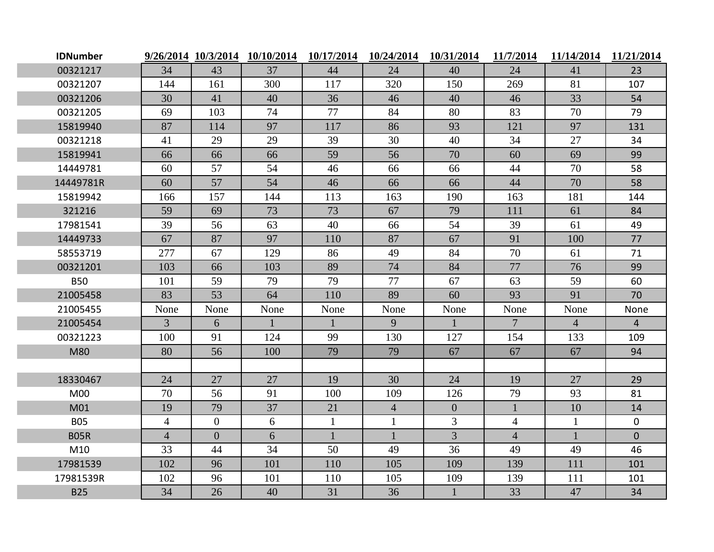| <b>IDNumber</b> |                |                | 9/26/2014 10/3/2014 10/10/2014 | 10/17/2014   | 10/24/2014     | 10/31/2014     | 11/7/2014       | 11/14/2014     | 11/21/2014     |
|-----------------|----------------|----------------|--------------------------------|--------------|----------------|----------------|-----------------|----------------|----------------|
| 00321217        | 34             | 43             | 37                             | 44           | 24             | 40             | 24              | 41             | 23             |
| 00321207        | 144            | 161            | 300                            | 117          | 320            | 150            | 269             | 81             | 107            |
| 00321206        | 30             | 41             | 40                             | 36           | 46             | 40             | 46              | 33             | 54             |
| 00321205        | 69             | 103            | 74                             | 77           | 84             | 80             | 83              | 70             | 79             |
| 15819940        | 87             | 114            | 97                             | 117          | 86             | 93             | 121             | 97             | 131            |
| 00321218        | 41             | 29             | 29                             | 39           | 30             | 40             | 34              | 27             | 34             |
| 15819941        | 66             | 66             | 66                             | 59           | 56             | 70             | 60              | 69             | 99             |
| 14449781        | 60             | 57             | 54                             | 46           | 66             | 66             | 44              | 70             | 58             |
| 14449781R       | 60             | 57             | 54                             | 46           | 66             | 66             | 44              | 70             | 58             |
| 15819942        | 166            | 157            | 144                            | 113          | 163            | 190            | 163             | 181            | 144            |
| 321216          | 59             | 69             | 73                             | 73           | 67             | 79             | 111             | 61             | 84             |
| 17981541        | 39             | 56             | 63                             | 40           | 66             | 54             | 39              | 61             | 49             |
| 14449733        | 67             | 87             | 97                             | 110          | 87             | 67             | 91              | 100            | 77             |
| 58553719        | 277            | 67             | 129                            | 86           | 49             | 84             | 70              | 61             | 71             |
| 00321201        | 103            | 66             | 103                            | 89           | 74             | 84             | 77              | 76             | 99             |
| <b>B50</b>      | 101            | 59             | 79                             | 79           | 77             | 67             | 63              | 59             | 60             |
| 21005458        | 83             | 53             | 64                             | 110          | 89             | 60             | 93              | 91             | 70             |
| 21005455        | None           | None           | None                           | None         | None           | None           | None            | None           | None           |
| 21005454        | $\overline{3}$ | 6              | $\mathbf{1}$                   | $\mathbf{1}$ | 9              | $\mathbf{1}$   | $7\overline{ }$ | $\overline{4}$ | $\overline{4}$ |
| 00321223        | 100            | 91             | 124                            | 99           | 130            | 127            | 154             | 133            | 109            |
| M80             | 80             | 56             | 100                            | 79           | 79             | 67             | 67              | 67             | 94             |
|                 |                |                |                                |              |                |                |                 |                |                |
| 18330467        | 24             | 27             | 27                             | 19           | 30             | 24             | 19              | 27             | 29             |
| M <sub>00</sub> | 70             | 56             | 91                             | 100          | 109            | 126            | 79              | 93             | 81             |
| M01             | 19             | 79             | 37                             | 21           | $\overline{4}$ | $\overline{0}$ | $\mathbf{1}$    | 10             | 14             |
| <b>B05</b>      | $\overline{4}$ | $\overline{0}$ | 6                              | $\mathbf{1}$ | $\mathbf{1}$   | $\overline{3}$ | $\overline{4}$  | $\mathbf{1}$   | $\mathbf{0}$   |
| <b>B05R</b>     | $\overline{4}$ | $\overline{0}$ | 6                              | $\mathbf{1}$ | $\mathbf{1}$   | $\overline{3}$ | $\overline{4}$  | $\mathbf{1}$   | $\overline{0}$ |
| M10             | 33             | 44             | 34                             | 50           | 49             | 36             | 49              | 49             | 46             |
| 17981539        | 102            | 96             | 101                            | 110          | 105            | 109            | 139             | 111            | 101            |
| 17981539R       | 102            | 96             | 101                            | 110          | 105            | 109            | 139             | 111            | 101            |
| <b>B25</b>      | 34             | 26             | 40                             | 31           | 36             | $\mathbf{1}$   | 33              | 47             | 34             |